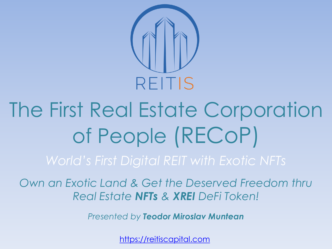

# The First Real Estate Corporation of People (RECoP)

*Own an Exotic Land & Get the Deserved Freedom thru Real Estate NFTs & XREI DeFi Token!*

*Presented by Teodor Miroslav Muntean*

[https://reitiscapital.com](https://reitiscapital.com/)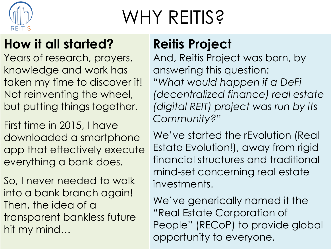

### WHY REITIS?

### **How it all started?**

Years of research, prayers, knowledge and work has taken my time to discover it! Not reinventing the wheel, but putting things together.

First time in 2015, I have downloaded a smartphone app that effectively execute everything a bank does.

So, I never needed to walk into a bank branch again! Then, the idea of a transparent bankless future hit my mind…

### **Reitis Project**

And, Reitis Project was born, by answering this question: *"What would happen if a DeFi (decentralized finance) real estate (digital REIT) project was run by its Community?"*

We've started the rEvolution (Real Estate Evolution!), away from rigid financial structures and traditional mind-set concerning real estate investments.

We've generically named it the "Real Estate Corporation of People" (RECoP) to provide global opportunity to everyone.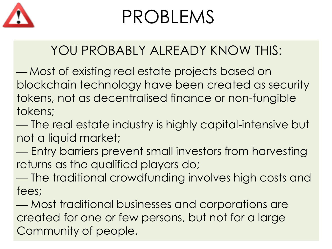

### PROBLEMS

### YOU PROBABLY ALREADY KNOW THIS:

 Most of existing real estate projects based on blockchain technology have been created as security tokens, not as decentralised finance or non-fungible tokens;

 The real estate industry is highly capital-intensive but not a liquid market;

 Entry barriers prevent small investors from harvesting returns as the qualified players do;

 The traditional crowdfunding involves high costs and fees;

 Most traditional businesses and corporations are created for one or few persons, but not for a large Community of people.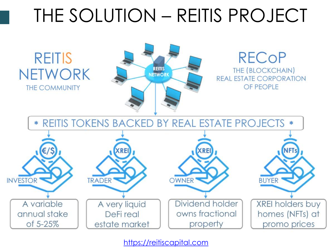### THE SOLUTION – REITIS PROJECT

**REITIS NETWORK THE COMMUNITY** 



#### **RECoP THE (BLOCKCHAIN) REAL ESTATE CORPORATION** OF PEOPLE



[https://reitiscapital.com](https://reitiscapital.com/)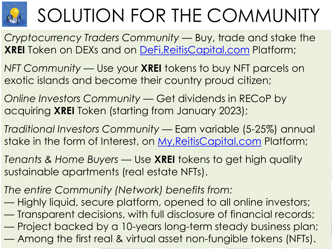

# SOLUTION FOR THE COMMUNITY

*Cryptocurrency Traders Community* — Buy, trade and stake the **XREI** Token on DEXs and on [DeFi.ReitisCapital.com](https://defi.reitiscapital.com/) Platform;

*NFT Community* — Use your **XREI** tokens to buy NFT parcels on exotic islands and become their country proud citizen;

*Online Investors Community* — Get dividends in RECoP by acquiring **XREI** Token (starting from January 2023);

*Traditional Investors Community* — Earn variable (5-25%) annual stake in the form of Interest, on [My.ReitisCapital.com](https://my.reitiscapital.com/) Platform;

*Tenants & Home Buyers* — Use **XREI** tokens to get high quality sustainable apartments (real estate NFTs).

*The entire Community (Network) benefits from:* 

— Highly liquid, secure platform, opened to all online investors;

— Transparent decisions, with full disclosure of financial records;

— Project backed by a 10-years long-term steady business plan;

— Among the first real & virtual asset non-fungible tokens (NFTs).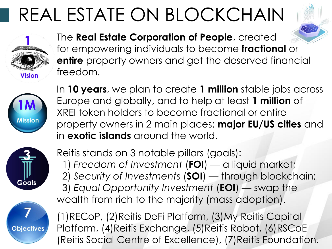### REAL ESTATE ON BLOCKCHAIN



The **Real Estate Corporation of People**, created for empowering individuals to become **fractional** or **entire** property owners and get the deserved financial freedom.



In **10 years**, we plan to create **1 million** stable jobs across Europe and globally, and to help at least **1 million** of XREI token holders to become fractional or entire property owners in 2 main places: **major EU/US cities** and in **exotic islands** around the world.



Reitis stands on 3 notable pillars (goals): 1) *Freedom of Investment* (**FOI**) — a liquid market; 2) *Security of Investments* (**SOI**) — through blockchain; 3) *Equal Opportunity Investment* (**EOI**) — swap the wealth from rich to the majority (mass adoption).



(1)RECoP, (2)Reitis DeFi Platform, (3)My Reitis Capital Platform, (4)Reitis Exchange, (5)Reitis Robot, (6)RSCoE (Reitis Social Centre of Excellence), (7)Reitis Foundation.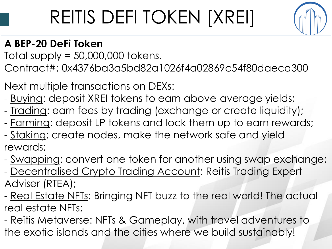## REITIS DEFI TOKEN [XREI]



#### **A BEP-20 DeFi Token**

Total supply  $= 50,000,000$  tokens.

Contract#: 0x4376ba3a5bd82a1026f4a02869c54f80daeca300

Next multiple transactions on DEXs:

- Buying: deposit XREI tokens to earn above-average yields;
- Trading: earn fees by trading (exchange or create liquidity);
- Farming: deposit LP tokens and lock them up to earn rewards; - Staking: create nodes, make the network safe and yield rewards;
- Swapping: convert one token for another using swap exchange; - Decentralised Crypto Trading Account: Reitis Trading Expert Adviser (RTEA);
- Real Estate NFTs: Bringing NFT buzz to the real world! The actual real estate NFTs;
- Reitis Metaverse: NFTs & Gameplay, with travel adventures to the exotic islands and the cities where we build sustainably!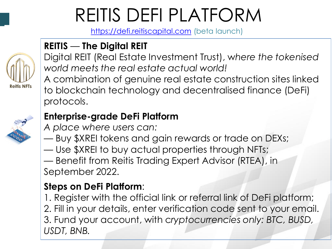### REITIS DEFI PLATFORM

[https://defi.reitiscapital.com](https://defi.reitiscapital.com/) (beta launch)

#### **REITIS** — **The Digital REIT**



Digital REIT (Real Estate Investment Trust), w*here the tokenised world meets the real estate actual world!*

A combination of genuine real estate construction sites linked to blockchain technology and decentralised finance (DeFi) protocols.

#### **Enterprise-grade DeFi Platform**

*A place where users can:* 

— Buy \$XREI tokens and gain rewards or trade on DEXs; — Use \$XREI to buy actual properties through NFTs; — Benefit from Reitis Trading Expert Advisor (RTEA), in September 2022.

#### **Steps on DeFi Platform**:

1. Register with the official link or referral link of DeFi platform; 2. Fill in your details, enter verification code sent to your email. 3. Fund your account, with c*ryptocurrencies only: BTC, BUSD, USDT, BNB.*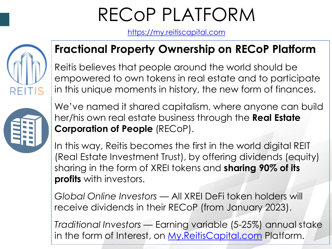### RECoP PLATFORM

[https://my.reitiscapital.com](https://my.reitiscapital.com/)



#### **Fractional Property Ownership on RECoP Platform**

Reitis believes that people around the world should be empowered to own tokens in real estate and to participate in this unique moments in history, the new form of finances.



We've named it shared capitalism, where anyone can build her/his own real estate business through the **Real Estate Corporation of People** (RECoP).

In this way, Reitis becomes the first in the world digital REIT (Real Estate Investment Trust), by offering dividends (equity) sharing in the form of XREI tokens and **sharing 90% of its profits** with investors.

*Global Online Investors* — All XREI DeFi token holders will receive dividends in their RECoP (from January 2023).

*Traditional Investors* — Earning variable (5-25%) annual stake in the form of Interest, on [My.ReitisCapital.com](https://my.reitiscapital.com/) Platform.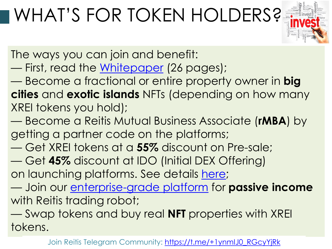### WHAT'S FOR TOKEN HOLDERS?



The ways you can join and benefit:

— First, read the [Whitepaper](https://reitiscapital.com/wp-content/uploads/2022/02/XREI-Token-Lightpaper-8-feb-2022.pdf) (26 pages);

— Become a fractional or entire property owner in **big cities** and **exotic islands** NFTs (depending on how many XREI tokens you hold);

- Become a Reitis Mutual Business Associate (**rMBA**) by getting a partner code on the platforms;
- Get XREI tokens at a **55%** discount on Pre-sale;
- Get **45%** discount at IDO (Initial DEX Offering) on launching platforms. See details [here](https://reitiscapital.com/marketing/);
- Join our [enterprise-grade platform](https://defi.reitiscapital.com/) for **passive income** with Reitis trading robot;

— Swap tokens and buy real **NFT** properties with XREI tokens.

Join Reitis Telegram Community: https://t.me/+1ynmlJ0\_RGcyYjRk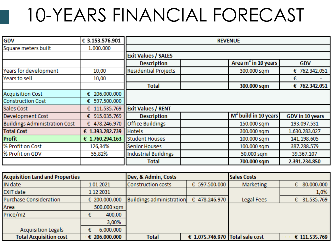### 10-YEARS FINANCIAL FORECAST

| <b>GDV</b>                           | € 3.153.576.901  | <b>REVENUE</b>              |  |                                 |                        |
|--------------------------------------|------------------|-----------------------------|--|---------------------------------|------------------------|
| Square meters built                  | 1.000.000        |                             |  |                                 |                        |
|                                      |                  | <b>Exit Values / SALES</b>  |  |                                 |                        |
|                                      |                  | <b>Description</b>          |  | Area m <sup>2</sup> in 10 years | <b>GDV</b>             |
| Years for development                | 10,00            | <b>Residential Projects</b> |  | 300.000 sqm                     | € 762.342.051          |
| Years to sell                        | 10,00            |                             |  |                                 | €                      |
|                                      |                  | <b>Total</b>                |  | 300.000 sqm                     | € 762.342.051          |
| <b>Acquisition Cost</b>              | 206.000.000<br>€ |                             |  |                                 |                        |
| <b>Construction Cost</b>             | € 597.500.000    |                             |  |                                 |                        |
| Sales Cost                           | 111.535.769<br>€ | <b>Exit Values / RENT</b>   |  |                                 |                        |
| <b>Development Cost</b>              | € 915.035.769    | <b>Description</b>          |  | $M2$ build in 10 years          | <b>GDV</b> in 10 years |
| <b>Buildings Administration Cost</b> | € 478.246.970    | <b>Office Buildings</b>     |  | 150.000 sqm                     | 193.097.531            |
| <b>Total Cost</b>                    | € 1.393.282.739  | <b>Hotels</b>               |  | 300.000 sqm                     | 1.630.283.027          |
| <b>Profit</b>                        | € 1.760.294.163  | <b>Student Houses</b>       |  | 100.000 sqm                     | 141.198.605            |
| % Profit on Cost                     | 126,34%          | <b>Senior Houses</b>        |  | 100.000 sqm                     | 387.288.579            |
| % Profit on GDV                      | 55,82%           | <b>Industrial Buildings</b> |  | 50.000 sqm                      | 39.367.107             |
|                                      |                  | <b>Total</b>                |  | 700.000 sqm                     | 2.391.234.850          |

| <b>Acquisition Land and Properties</b> |               | Dev, & Admin, Costs       |                                 | <b>Sales Costs</b> |                  |
|----------------------------------------|---------------|---------------------------|---------------------------------|--------------------|------------------|
| IN date                                | 1012021       | <b>Construction costs</b> | € 597.500.000                   | Marketing          | 80.000.000<br>€  |
| <b>EXIT date</b>                       | 1 12 2031     |                           |                                 |                    | 1,0%             |
| Purchase Consideration                 | € 200.000.000 | Buildings administration  | € 478.246.970                   | Legal Fees         | 31.535.769<br>€. |
| Area                                   | 500.000 sqm   |                           |                                 |                    |                  |
| Price/m2                               | 400,00        |                           |                                 |                    |                  |
|                                        | 3,00%         |                           |                                 |                    |                  |
| <b>Acquisition Legals</b>              | 6.000.000     |                           |                                 |                    |                  |
| <b>Total Acquisition cost</b>          | € 206.000.000 | <b>Total</b>              | € 1.075.746.970 Total sale cost |                    | € 111.535.769    |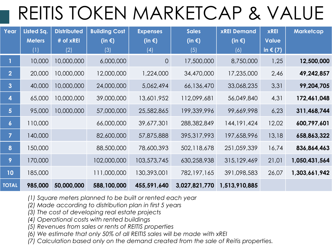### REITIS TOKEN MARKETCAP & VALUE

| Year                    | Listed Sq.    | <b>Distributed</b> | <b>Building Cost</b> | <b>Expenses</b>  | <b>Sales</b>     | <b>xREI Demand</b> | <b>xREI</b>       | <b>Marketcap</b> |
|-------------------------|---------------|--------------------|----------------------|------------------|------------------|--------------------|-------------------|------------------|
|                         | <b>Meters</b> | # of xREI          | (in $\epsilon$ )     | (in $\epsilon$ ) | (in $\epsilon$ ) | (in $\epsilon$ )   | <b>Value</b>      |                  |
|                         | (1)           | (2)                | (3)                  | (4)              | (5)              | (6)                | in $\epsilon$ (7) |                  |
|                         | 10,000        | 10,000,000         | 6,000,000            | $\overline{O}$   | 17,500,000       | 8,750,000          | 1,25              | 12,500,000       |
| 2 <sup>1</sup>          | 20,000        | 10,000,000         | 12,000,000           | 1,224,000        | 34,470,000       | 17,235,000         | 2,46              | 49,242,857       |
| 3 <sup>1</sup>          | 40,000        | 10,000,000         | 24,000,000           | 5,062,494        | 66,136,470       | 33,068,235         | 3,31              | 99,204,705       |
| $\overline{\mathbf{4}}$ | 65,000        | 10,000,000         | 39,000,000           | 13,601,952       | 112,099,681      | 56,049,840         | 4,31              | 172,461,048      |
| 5 <sup>5</sup>          | 95,000        | 10,000,000         | 57,000,000           | 25,582,865       | 199,339,996      | 99,669,998         | 6,23              | 311,468,744      |
| $\boldsymbol{6}$        | 110,000       |                    | 66,000,000           | 39,677,301       | 288,382,849      | 144, 191, 424      | 12,02             | 600,797,601      |
| $\overline{7}$          | 140,000       |                    | 82,600,000           | 57,875,888       | 395,317,993      | 197,658,996        | 13,18             | 658,863,322      |
| 8                       | 150,000       |                    | 88,500,000           | 78,600,393       | 502,118,678      | 251,059,339        | 16,74             | 836,864,463      |
| 9                       | 170,000       |                    | 102,000,000          | 103,573,745      | 630,258,938      | 315,129,469        | 21,01             | 1,050,431,564    |
| 10 <sub>1</sub>         | 185,000       |                    | 111,000,000          | 130,393,001      | 782, 197, 165    | 391,098,583        | 26,07             | 1,303,661,942    |
| <b>TOTAL</b>            | 985,000       | 50,000,000         | 588,100,000          | 455,591,640      | 3,027,821,770    | 1,513,910,885      |                   |                  |

- *(1) Square meters planned to be built or rented each year*
- *(2) Made according to distribution plan in first 5 years*
- *(3) The cost of developing real estate projects*
- *(4) Operational costs with rented buildings*
- *(5) Revenues from sales or rents of REITIS properties*
- *(6) We estimate that only 50% of all REITIS sales will be made with xREI*
- *(7) Calculation based only on the demand created from the sale of Reitis properties.*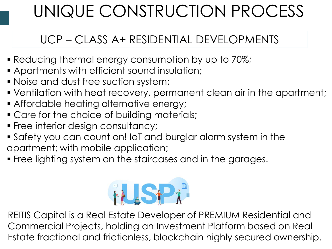### UNIQUE CONSTRUCTION PROCESS

#### UCP – CLASS A+ RESIDENTIAL DEVELOPMENTS

- **Reducing thermal energy consumption by up to 70%;**
- Apartments with efficient sound insulation;
- Noise and dust free suction system;
- Ventilation with heat recovery, permanent clean air in the apartment;
- **Affordable heating alternative energy;**
- **Care for the choice of building materials;**
- **Free interior design consultancy;**
- Safety you can count on! IoT and burglar alarm system in the apartment; with mobile application;
- **Free lighting system on the staircases and in the garages.**



REITIS Capital is a Real Estate Developer of PREMIUM Residential and Commercial Projects, holding an Investment Platform based on Real Estate fractional and frictionless, blockchain highly secured ownership.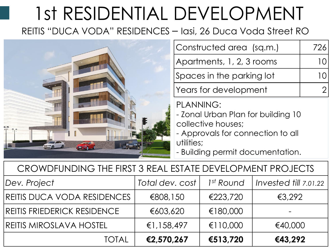# 1st RESIDENTIAL DEVELOPMENT

REITIS "DUCA VODA" RESIDENCES – Iasi, 26 Duca Voda Street RO



| Constructed area (sq.m.)  | 726 |
|---------------------------|-----|
| Apartments, 1, 2, 3 rooms |     |
| Spaces in the parking lot |     |
| Years for development     |     |
|                           |     |

PLANNING:

- Zonal Urban Plan for building 10 collective houses;

- Approvals for connection to all utilities;

- Building permit documentation.

| CROWDFUNDING THE FIRST 3 REAL ESTATE DEVELOPMENT PROJECTS |          |          |                                                     |  |  |
|-----------------------------------------------------------|----------|----------|-----------------------------------------------------|--|--|
| Dev. Project                                              |          |          | Total dev. cost   1st Round   Invested till 7.01.22 |  |  |
| REITIS DUCA VODA RESIDENCES I                             | €808,150 | €223,720 | €3.292                                              |  |  |
|                                                           |          |          |                                                     |  |  |

| <b>TOTAL</b>                 | €2,570,267 | €513,720           | €43,292 |
|------------------------------|------------|--------------------|---------|
| REITIS MIROSLAVA HOSTEL      | €1,158,497 | €110,000           | €40,000 |
| REITIS FRIEDERICK RESIDENCE  | €603,620   | €180,000           |         |
| REIIIS DUCA VODA RESIDENCES. | E808,150   | $\text{\&}223.720$ | E3,292  |